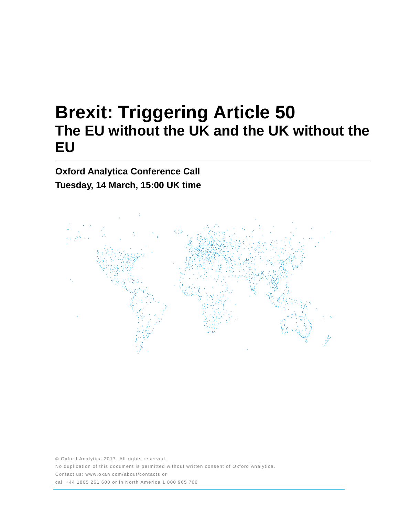# **Brexit: Triggering Article 50 The EU without the UK and the UK without the EU**

**Oxford Analytica Conference Call Tuesday, 14 March, 15:00 UK time**



© Oxford Analytica 2017. All rights reserved. No duplication of this document is permitted without written consent of Oxford Analytica. Contact us: www.oxan.com/about/contacts or call +44 1865 261 600 or in North America 1 800 965 766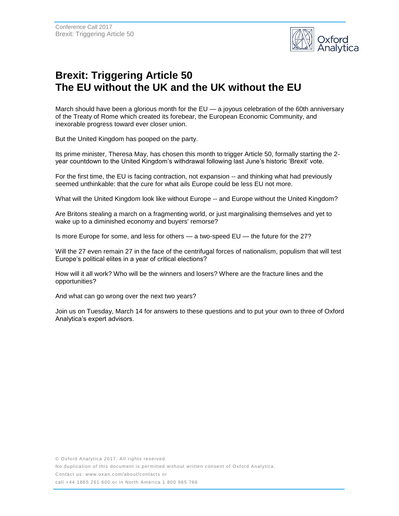

## **Brexit: Triggering Article 50 The EU without the UK and the UK without the EU**

March should have been a glorious month for the EU — a joyous celebration of the 60th anniversary of the Treaty of Rome which created its forebear, the European Economic Community, and inexorable progress toward ever closer union.

But the United Kingdom has pooped on the party.

Its prime minister, Theresa May, has chosen this month to trigger Article 50, formally starting the 2 year countdown to the United Kingdom's withdrawal following last June's historic 'Brexit' vote.

For the first time, the EU is facing contraction, not expansion -- and thinking what had previously seemed unthinkable: that the cure for what ails Europe could be less EU not more.

What will the United Kingdom look like without Europe -- and Europe without the United Kingdom?

Are Britons stealing a march on a fragmenting world, or just marginalising themselves and yet to wake up to a diminished economy and buyers' remorse?

Is more Europe for some, and less for others — a two-speed EU — the future for the 27?

Will the 27 even remain 27 in the face of the centrifugal forces of nationalism, populism that will test Europe's political elites in a year of critical elections?

How will it all work? Who will be the winners and losers? Where are the fracture lines and the opportunities?

And what can go wrong over the next two years?

Join us on Tuesday, March 14 for answers to these questions and to put your own to three of Oxford Analytica's expert advisors.